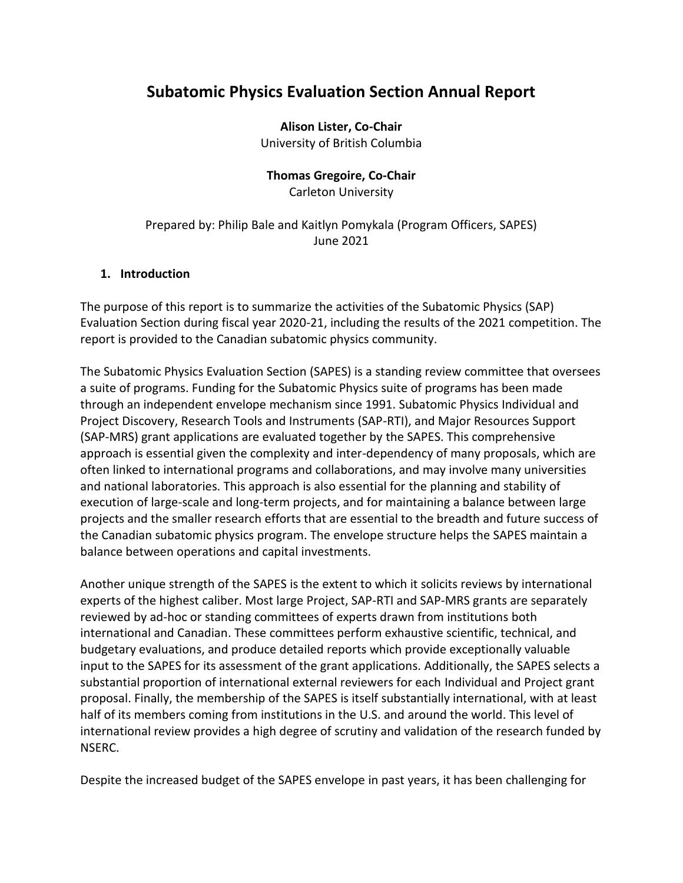# **Subatomic Physics Evaluation Section Annual Report**

#### **Alison Lister, Co-Chair**

University of British Columbia

## **Thomas Gregoire, Co-Chair**

Carleton University

#### Prepared by: Philip Bale and Kaitlyn Pomykala (Program Officers, SAPES) June 2021

#### **1. Introduction**

The purpose of this report is to summarize the activities of the Subatomic Physics (SAP) Evaluation Section during fiscal year 2020-21, including the results of the 2021 competition. The report is provided to the Canadian subatomic physics community.

The Subatomic Physics Evaluation Section (SAPES) is a standing review committee that oversees a suite of programs. Funding for the Subatomic Physics suite of programs has been made through an independent envelope mechanism since 1991. Subatomic Physics Individual and Project Discovery, Research Tools and Instruments (SAP-RTI), and Major Resources Support (SAP-MRS) grant applications are evaluated together by the SAPES. This comprehensive approach is essential given the complexity and inter-dependency of many proposals, which are often linked to international programs and collaborations, and may involve many universities and national laboratories. This approach is also essential for the planning and stability of execution of large-scale and long-term projects, and for maintaining a balance between large projects and the smaller research efforts that are essential to the breadth and future success of the Canadian subatomic physics program. The envelope structure helps the SAPES maintain a balance between operations and capital investments.

Another unique strength of the SAPES is the extent to which it solicits reviews by international experts of the highest caliber. Most large Project, SAP-RTI and SAP-MRS grants are separately reviewed by ad-hoc or standing committees of experts drawn from institutions both international and Canadian. These committees perform exhaustive scientific, technical, and budgetary evaluations, and produce detailed reports which provide exceptionally valuable input to the SAPES for its assessment of the grant applications. Additionally, the SAPES selects a substantial proportion of international external reviewers for each Individual and Project grant proposal. Finally, the membership of the SAPES is itself substantially international, with at least half of its members coming from institutions in the U.S. and around the world. This level of international review provides a high degree of scrutiny and validation of the research funded by NSERC.

Despite the increased budget of the SAPES envelope in past years, it has been challenging for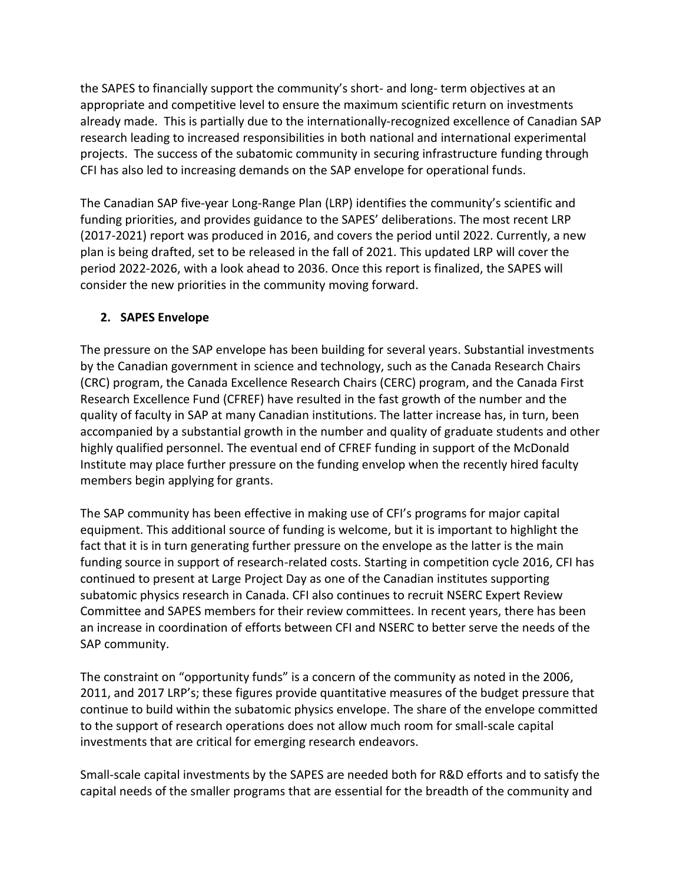the SAPES to financially support the community's short- and long- term objectives at an appropriate and competitive level to ensure the maximum scientific return on investments already made. This is partially due to the internationally-recognized excellence of Canadian SAP research leading to increased responsibilities in both national and international experimental projects. The success of the subatomic community in securing infrastructure funding through CFI has also led to increasing demands on the SAP envelope for operational funds.

The Canadian SAP five-year Long-Range Plan (LRP) identifies the community's scientific and funding priorities, and provides guidance to the SAPES' deliberations. The most recent LRP (2017-2021) report was produced in 2016, and covers the period until 2022. Currently, a new plan is being drafted, set to be released in the fall of 2021. This updated LRP will cover the period 2022-2026, with a look ahead to 2036. Once this report is finalized, the SAPES will consider the new priorities in the community moving forward.

### **2. SAPES Envelope**

The pressure on the SAP envelope has been building for several years. Substantial investments by the Canadian government in science and technology, such as the Canada Research Chairs (CRC) program, the Canada Excellence Research Chairs (CERC) program, and the Canada First Research Excellence Fund (CFREF) have resulted in the fast growth of the number and the quality of faculty in SAP at many Canadian institutions. The latter increase has, in turn, been accompanied by a substantial growth in the number and quality of graduate students and other highly qualified personnel. The eventual end of CFREF funding in support of the McDonald Institute may place further pressure on the funding envelop when the recently hired faculty members begin applying for grants.

The SAP community has been effective in making use of CFI's programs for major capital equipment. This additional source of funding is welcome, but it is important to highlight the fact that it is in turn generating further pressure on the envelope as the latter is the main funding source in support of research-related costs. Starting in competition cycle 2016, CFI has continued to present at Large Project Day as one of the Canadian institutes supporting subatomic physics research in Canada. CFI also continues to recruit NSERC Expert Review Committee and SAPES members for their review committees. In recent years, there has been an increase in coordination of efforts between CFI and NSERC to better serve the needs of the SAP community.

The constraint on "opportunity funds" is a concern of the community as noted in the 2006, 2011, and 2017 LRP's; these figures provide quantitative measures of the budget pressure that continue to build within the subatomic physics envelope. The share of the envelope committed to the support of research operations does not allow much room for small-scale capital investments that are critical for emerging research endeavors.

Small-scale capital investments by the SAPES are needed both for R&D efforts and to satisfy the capital needs of the smaller programs that are essential for the breadth of the community and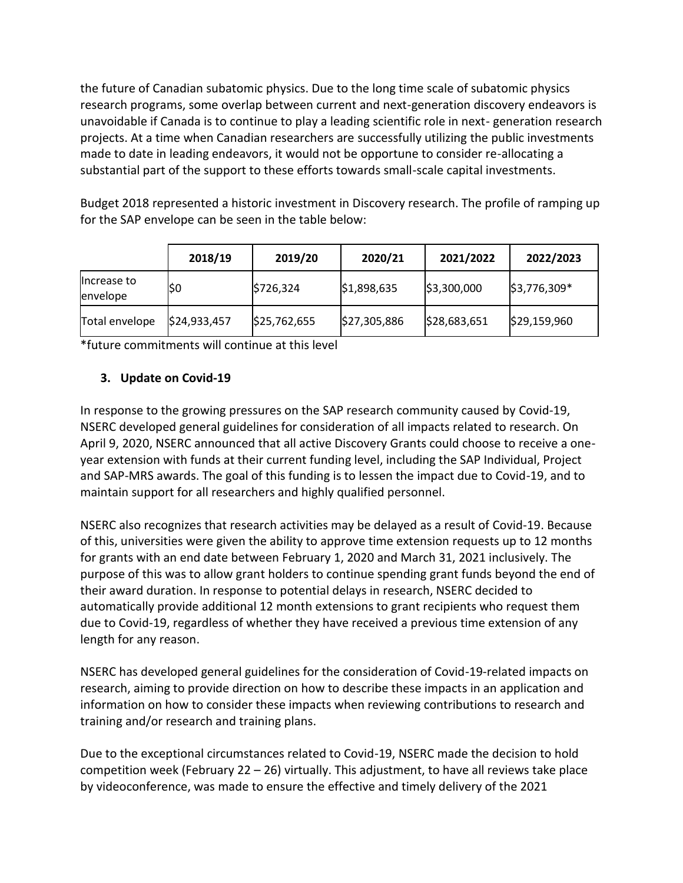the future of Canadian subatomic physics. Due to the long time scale of subatomic physics research programs, some overlap between current and next-generation discovery endeavors is unavoidable if Canada is to continue to play a leading scientific role in next- generation research projects. At a time when Canadian researchers are successfully utilizing the public investments made to date in leading endeavors, it would not be opportune to consider re-allocating a substantial part of the support to these efforts towards small-scale capital investments.

Budget 2018 represented a historic investment in Discovery research. The profile of ramping up for the SAP envelope can be seen in the table below:

|                         | 2018/19      | 2019/20      | 2020/21      | 2021/2022    | 2022/2023    |
|-------------------------|--------------|--------------|--------------|--------------|--------------|
| Increase to<br>envelope | I\$O         | \$726,324    | \$1,898,635  | \$3,300,000  | \$3,776,309* |
| Total envelope          | \$24,933,457 | \$25,762,655 | \$27,305,886 | \$28,683,651 | \$29,159,960 |

\*future commitments will continue at this level

## **3. Update on Covid-19**

In response to the growing pressures on the SAP research community caused by Covid-19, NSERC developed general guidelines for consideration of all impacts related to research. On April 9, 2020, NSERC announced that all active Discovery Grants could choose to receive a oneyear extension with funds at their current funding level, including the SAP Individual, Project and SAP-MRS awards. The goal of this funding is to lessen the impact due to Covid-19, and to maintain support for all researchers and highly qualified personnel.

NSERC also recognizes that research activities may be delayed as a result of Covid-19. Because of this, universities were given the ability to approve time extension requests up to 12 months for grants with an end date between February 1, 2020 and March 31, 2021 inclusively. The purpose of this was to allow grant holders to continue spending grant funds beyond the end of their award duration. In response to potential delays in research, NSERC decided to automatically provide additional 12 month extensions to grant recipients who request them due to Covid-19, regardless of whether they have received a previous time extension of any length for any reason.

NSERC has developed general guidelines for the consideration of Covid-19-related impacts on research, aiming to provide direction on how to describe these impacts in an application and information on how to consider these impacts when reviewing contributions to research and training and/or research and training plans.

Due to the exceptional circumstances related to Covid-19, NSERC made the decision to hold competition week (February 22 – 26) virtually. This adjustment, to have all reviews take place by videoconference, was made to ensure the effective and timely delivery of the 2021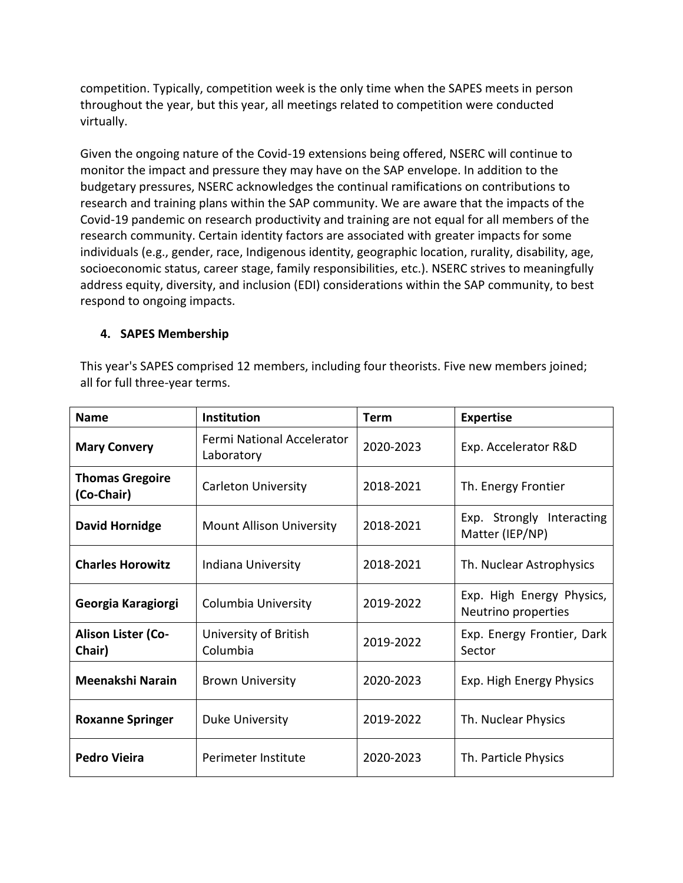competition. Typically, competition week is the only time when the SAPES meets in person throughout the year, but this year, all meetings related to competition were conducted virtually.

Given the ongoing nature of the Covid-19 extensions being offered, NSERC will continue to monitor the impact and pressure they may have on the SAP envelope. In addition to the budgetary pressures, NSERC acknowledges the continual ramifications on contributions to research and training plans within the SAP community. We are aware that the impacts of the Covid-19 pandemic on research productivity and training are not equal for all members of the research community. Certain identity factors are associated with greater impacts for some individuals (e.g., gender, race, Indigenous identity, geographic location, rurality, disability, age, socioeconomic status, career stage, family responsibilities, etc.). NSERC strives to meaningfully address equity, diversity, and inclusion (EDI) considerations within the SAP community, to best respond to ongoing impacts.

#### **4. SAPES Membership**

This year's SAPES comprised 12 members, including four theorists. Five new members joined; all for full three-year terms.

| <b>Name</b>                          | Institution                              | Term      | <b>Expertise</b>                                 |
|--------------------------------------|------------------------------------------|-----------|--------------------------------------------------|
| <b>Mary Convery</b>                  | Fermi National Accelerator<br>Laboratory | 2020-2023 | Exp. Accelerator R&D                             |
| <b>Thomas Gregoire</b><br>(Co-Chair) | <b>Carleton University</b>               | 2018-2021 | Th. Energy Frontier                              |
| <b>David Hornidge</b>                | <b>Mount Allison University</b>          | 2018-2021 | Exp. Strongly Interacting<br>Matter (IEP/NP)     |
| <b>Charles Horowitz</b>              | Indiana University                       | 2018-2021 | Th. Nuclear Astrophysics                         |
| Georgia Karagiorgi                   | Columbia University                      | 2019-2022 | Exp. High Energy Physics,<br>Neutrino properties |
| <b>Alison Lister (Co-</b><br>Chair)  | University of British<br>Columbia        | 2019-2022 | Exp. Energy Frontier, Dark<br>Sector             |
| Meenakshi Narain                     | <b>Brown University</b>                  | 2020-2023 | Exp. High Energy Physics                         |
| <b>Roxanne Springer</b>              | Duke University                          | 2019-2022 | Th. Nuclear Physics                              |
| Pedro Vieira                         | Perimeter Institute                      | 2020-2023 | Th. Particle Physics                             |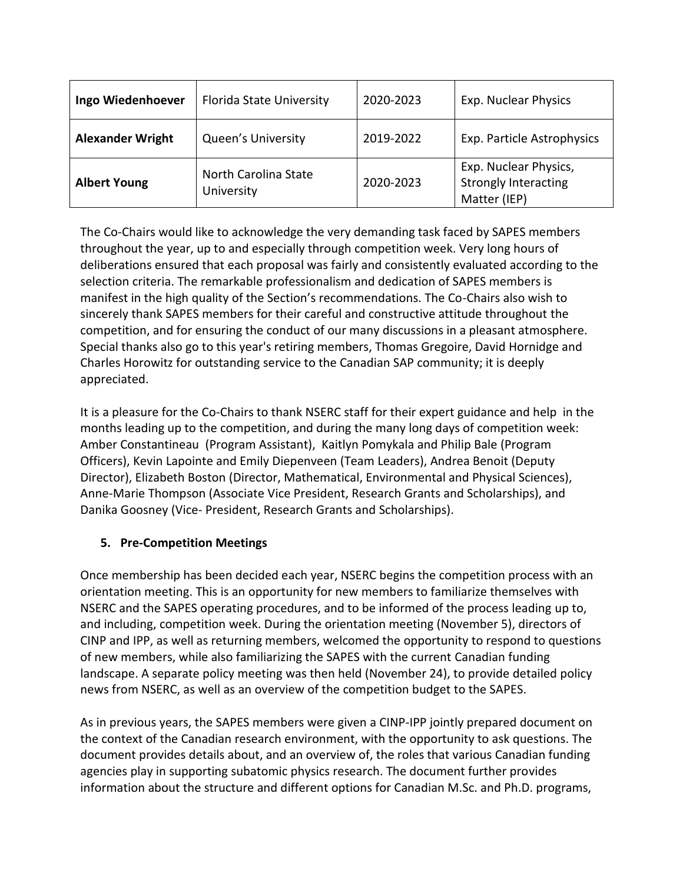| <b>Ingo Wiedenhoever</b> | <b>Florida State University</b>    | 2020-2023 | <b>Exp. Nuclear Physics</b>                                          |
|--------------------------|------------------------------------|-----------|----------------------------------------------------------------------|
| <b>Alexander Wright</b>  | <b>Queen's University</b>          | 2019-2022 | Exp. Particle Astrophysics                                           |
| <b>Albert Young</b>      | North Carolina State<br>University | 2020-2023 | Exp. Nuclear Physics,<br><b>Strongly Interacting</b><br>Matter (IEP) |

The Co-Chairs would like to acknowledge the very demanding task faced by SAPES members throughout the year, up to and especially through competition week. Very long hours of deliberations ensured that each proposal was fairly and consistently evaluated according to the selection criteria. The remarkable professionalism and dedication of SAPES members is manifest in the high quality of the Section's recommendations. The Co-Chairs also wish to sincerely thank SAPES members for their careful and constructive attitude throughout the competition, and for ensuring the conduct of our many discussions in a pleasant atmosphere. Special thanks also go to this year's retiring members, Thomas Gregoire, David Hornidge and Charles Horowitz for outstanding service to the Canadian SAP community; it is deeply appreciated.

It is a pleasure for the Co-Chairs to thank NSERC staff for their expert guidance and help in the months leading up to the competition, and during the many long days of competition week: Amber Constantineau (Program Assistant), Kaitlyn Pomykala and Philip Bale (Program Officers), Kevin Lapointe and Emily Diepenveen (Team Leaders), Andrea Benoit (Deputy Director), Elizabeth Boston (Director, Mathematical, Environmental and Physical Sciences), Anne-Marie Thompson (Associate Vice President, Research Grants and Scholarships), and Danika Goosney (Vice- President, Research Grants and Scholarships).

## **5. Pre-Competition Meetings**

Once membership has been decided each year, NSERC begins the competition process with an orientation meeting. This is an opportunity for new members to familiarize themselves with NSERC and the SAPES operating procedures, and to be informed of the process leading up to, and including, competition week. During the orientation meeting (November 5), directors of CINP and IPP, as well as returning members, welcomed the opportunity to respond to questions of new members, while also familiarizing the SAPES with the current Canadian funding landscape. A separate policy meeting was then held (November 24), to provide detailed policy news from NSERC, as well as an overview of the competition budget to the SAPES.

As in previous years, the SAPES members were given a CINP-IPP jointly prepared document on the context of the Canadian research environment, with the opportunity to ask questions. The document provides details about, and an overview of, the roles that various Canadian funding agencies play in supporting subatomic physics research. The document further provides information about the structure and different options for Canadian M.Sc. and Ph.D. programs,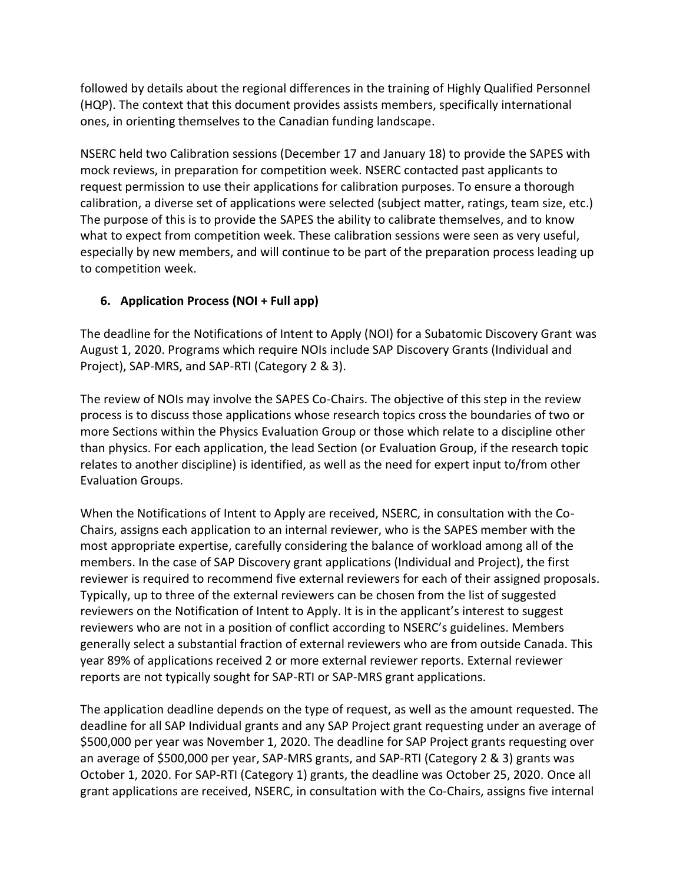followed by details about the regional differences in the training of Highly Qualified Personnel (HQP). The context that this document provides assists members, specifically international ones, in orienting themselves to the Canadian funding landscape.

NSERC held two Calibration sessions (December 17 and January 18) to provide the SAPES with mock reviews, in preparation for competition week. NSERC contacted past applicants to request permission to use their applications for calibration purposes. To ensure a thorough calibration, a diverse set of applications were selected (subject matter, ratings, team size, etc.) The purpose of this is to provide the SAPES the ability to calibrate themselves, and to know what to expect from competition week. These calibration sessions were seen as very useful, especially by new members, and will continue to be part of the preparation process leading up to competition week.

## **6. Application Process (NOI + Full app)**

The deadline for the Notifications of Intent to Apply (NOI) for a Subatomic Discovery Grant was August 1, 2020. Programs which require NOIs include SAP Discovery Grants (Individual and Project), SAP-MRS, and SAP-RTI (Category 2 & 3).

The review of NOIs may involve the SAPES Co-Chairs. The objective of this step in the review process is to discuss those applications whose research topics cross the boundaries of two or more Sections within the Physics Evaluation Group or those which relate to a discipline other than physics. For each application, the lead Section (or Evaluation Group, if the research topic relates to another discipline) is identified, as well as the need for expert input to/from other Evaluation Groups.

When the Notifications of Intent to Apply are received, NSERC, in consultation with the Co-Chairs, assigns each application to an internal reviewer, who is the SAPES member with the most appropriate expertise, carefully considering the balance of workload among all of the members. In the case of SAP Discovery grant applications (Individual and Project), the first reviewer is required to recommend five external reviewers for each of their assigned proposals. Typically, up to three of the external reviewers can be chosen from the list of suggested reviewers on the Notification of Intent to Apply. It is in the applicant's interest to suggest reviewers who are not in a position of conflict according to NSERC's guidelines. Members generally select a substantial fraction of external reviewers who are from outside Canada. This year 89% of applications received 2 or more external reviewer reports. External reviewer reports are not typically sought for SAP-RTI or SAP-MRS grant applications.

The application deadline depends on the type of request, as well as the amount requested. The deadline for all SAP Individual grants and any SAP Project grant requesting under an average of \$500,000 per year was November 1, 2020. The deadline for SAP Project grants requesting over an average of \$500,000 per year, SAP-MRS grants, and SAP-RTI (Category 2 & 3) grants was October 1, 2020. For SAP-RTI (Category 1) grants, the deadline was October 25, 2020. Once all grant applications are received, NSERC, in consultation with the Co-Chairs, assigns five internal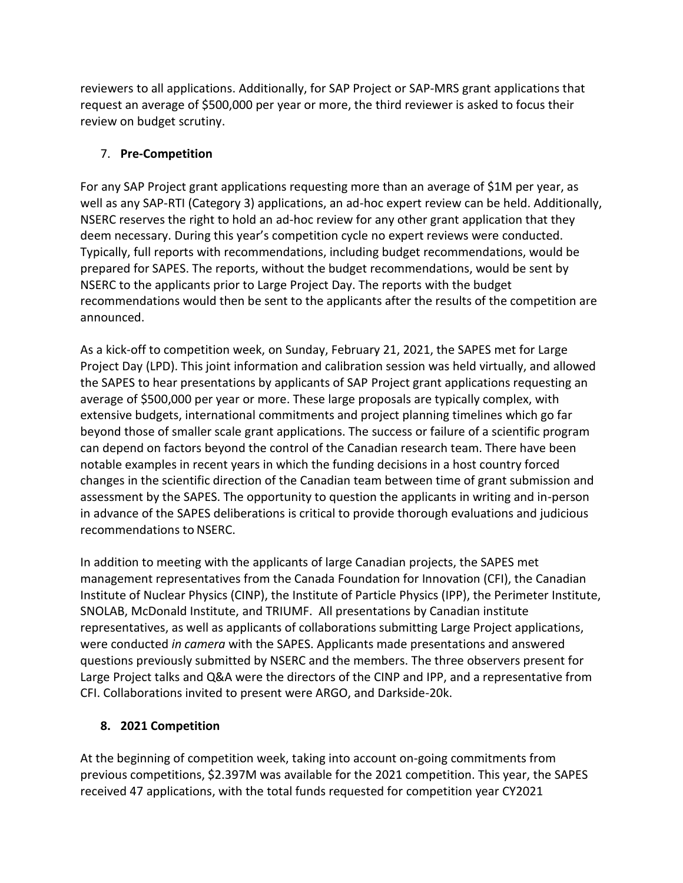reviewers to all applications. Additionally, for SAP Project or SAP-MRS grant applications that request an average of \$500,000 per year or more, the third reviewer is asked to focus their review on budget scrutiny.

## 7. **Pre-Competition**

For any SAP Project grant applications requesting more than an average of \$1M per year, as well as any SAP-RTI (Category 3) applications, an ad-hoc expert review can be held. Additionally, NSERC reserves the right to hold an ad-hoc review for any other grant application that they deem necessary. During this year's competition cycle no expert reviews were conducted. Typically, full reports with recommendations, including budget recommendations, would be prepared for SAPES. The reports, without the budget recommendations, would be sent by NSERC to the applicants prior to Large Project Day. The reports with the budget recommendations would then be sent to the applicants after the results of the competition are announced.

As a kick-off to competition week, on Sunday, February 21, 2021, the SAPES met for Large Project Day (LPD). This joint information and calibration session was held virtually, and allowed the SAPES to hear presentations by applicants of SAP Project grant applications requesting an average of \$500,000 per year or more. These large proposals are typically complex, with extensive budgets, international commitments and project planning timelines which go far beyond those of smaller scale grant applications. The success or failure of a scientific program can depend on factors beyond the control of the Canadian research team. There have been notable examples in recent years in which the funding decisions in a host country forced changes in the scientific direction of the Canadian team between time of grant submission and assessment by the SAPES. The opportunity to question the applicants in writing and in-person in advance of the SAPES deliberations is critical to provide thorough evaluations and judicious recommendations to NSERC.

In addition to meeting with the applicants of large Canadian projects, the SAPES met management representatives from the Canada Foundation for Innovation (CFI), the Canadian Institute of Nuclear Physics (CINP), the Institute of Particle Physics (IPP), the Perimeter Institute, SNOLAB, McDonald Institute, and TRIUMF. All presentations by Canadian institute representatives, as well as applicants of collaborations submitting Large Project applications, were conducted *in camera* with the SAPES. Applicants made presentations and answered questions previously submitted by NSERC and the members. The three observers present for Large Project talks and Q&A were the directors of the CINP and IPP, and a representative from CFI. Collaborations invited to present were ARGO, and Darkside-20k.

#### **8. 2021 Competition**

At the beginning of competition week, taking into account on-going commitments from previous competitions, \$2.397M was available for the 2021 competition. This year, the SAPES received 47 applications, with the total funds requested for competition year CY2021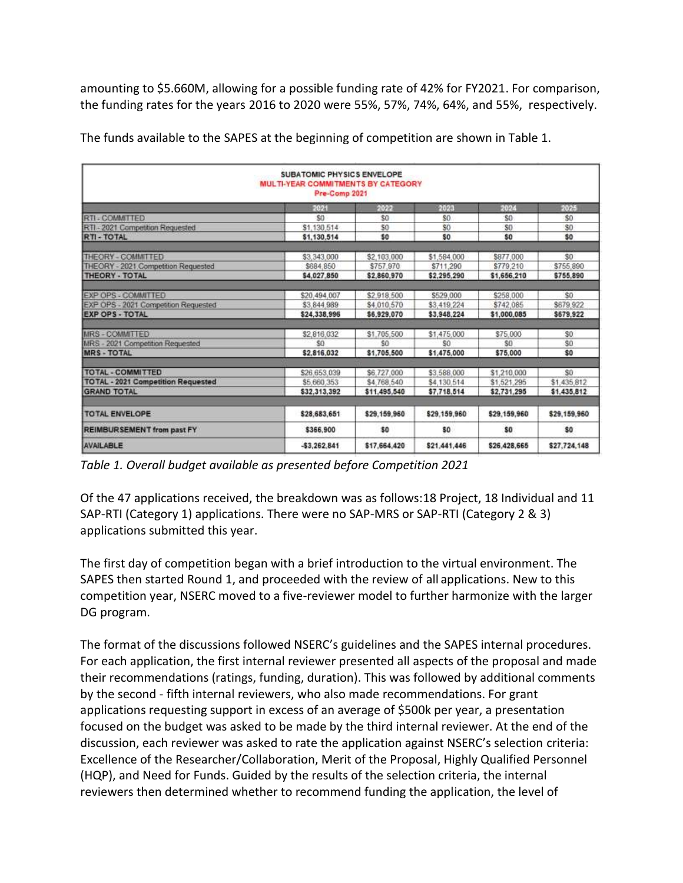amounting to \$5.660M, allowing for a possible funding rate of 42% for FY2021. For comparison, the funding rates for the years 2016 to 2020 were 55%, 57%, 74%, 64%, and 55%, respectively.

|                                           | <b>SUBATOMIC PHYSICS ENVELOPE</b><br>MULTI-YEAR COMMITMENTS BY CATEGORY<br>Pre-Comp 2021 |              |                |              |                |
|-------------------------------------------|------------------------------------------------------------------------------------------|--------------|----------------|--------------|----------------|
|                                           | 2021                                                                                     | 2022         | 2023           | 2024         | 2025           |
| <b>RTI-COMMITTED</b>                      | \$0                                                                                      | \$0          | S <sub>0</sub> | \$0          | \$0            |
| RTI - 2021 Competition Requested          | \$1,130.514                                                                              | \$0          | \$0            | \$0          | S <sub>0</sub> |
| <b>RTI-TOTAL</b>                          | \$1,130,514                                                                              | \$0          | \$0            | \$0          | \$0            |
| THEORY - COMMITTED                        | \$3,343,000                                                                              | \$2,103,000  | \$1,584,000    | \$877,000    | \$0            |
| THEORY - 2021 Competition Requested       | \$684,850                                                                                | \$757.970    | \$711,290      | \$779.210    | \$755.890      |
| THEORY - TOTAL                            | \$4,027,850                                                                              | \$2,860.970  | \$2,295.290    | \$1,656,210  | \$755,890      |
| <b>EXP OPS - COMMITTED</b>                | \$20,494.007                                                                             | \$2,918,500  | \$529,000      | \$258,000    | \$0            |
| EXP OPS - 2021 Competition Requested      | \$3,844.989                                                                              | \$4,010.570  | \$3.419.224    | \$742.085    | \$679 922      |
| <b>EXP OPS - TOTAL</b>                    | \$24,338,996                                                                             | \$6,929,070  | \$3,948.224    | \$1,000.085  | \$679.922      |
| MRS-COMMITTED                             | \$2,816,032                                                                              | \$1,705,500  | \$1,475,000    | \$75,000     | S0             |
| 2021 Competition Requested<br><b>MRS</b>  | \$0                                                                                      | \$0          | \$0            | \$0          | S <sub>0</sub> |
| <b>MRS-TOTAL</b>                          | \$2,816,032                                                                              | \$1,705,500  | \$1,475,000    | \$75,000     | \$0            |
| TOTAL - COMMITTED                         | \$26.653.039                                                                             | \$6,727,000  | \$3,588,000    | \$1,210.000  | S0             |
| <b>TOTAL - 2021 Competition Requested</b> | \$5,660,353                                                                              | \$4,768,540  | \$4,130.514    | \$1,521,295  | \$1,435,812    |
| <b>GRAND TOTAL</b>                        | \$32,313,392                                                                             | \$11,495,540 | \$7,718.514    | \$2,731,295  | \$1,435,812    |
| <b>TOTAL ENVELOPE</b>                     | \$28,683.651                                                                             | \$29,159,960 | \$29,159,960   | \$29,159,960 | \$29,159,960   |
| <b>REIMBURSEMENT from past FY</b>         | \$366,900                                                                                | \$0          | \$0            | \$0          | \$0            |
| AVAILABLE                                 | $-53,262,841$                                                                            | \$17,664,420 | \$21,441,446   | \$26,428,665 | \$27,724,148   |

The funds available to the SAPES at the beginning of competition are shown in Table 1.

*Table 1. Overall budget available as presented before Competition 2021*

Of the 47 applications received, the breakdown was as follows:18 Project, 18 Individual and 11 SAP-RTI (Category 1) applications. There were no SAP-MRS or SAP-RTI (Category 2 & 3) applications submitted this year.

The first day of competition began with a brief introduction to the virtual environment. The SAPES then started Round 1, and proceeded with the review of all applications. New to this competition year, NSERC moved to a five-reviewer model to further harmonize with the larger DG program.

The format of the discussions followed NSERC's guidelines and the SAPES internal procedures. For each application, the first internal reviewer presented all aspects of the proposal and made their recommendations (ratings, funding, duration). This was followed by additional comments by the second - fifth internal reviewers, who also made recommendations. For grant applications requesting support in excess of an average of \$500k per year, a presentation focused on the budget was asked to be made by the third internal reviewer. At the end of the discussion, each reviewer was asked to rate the application against NSERC's selection criteria: Excellence of the Researcher/Collaboration, Merit of the Proposal, Highly Qualified Personnel (HQP), and Need for Funds. Guided by the results of the selection criteria, the internal reviewers then determined whether to recommend funding the application, the level of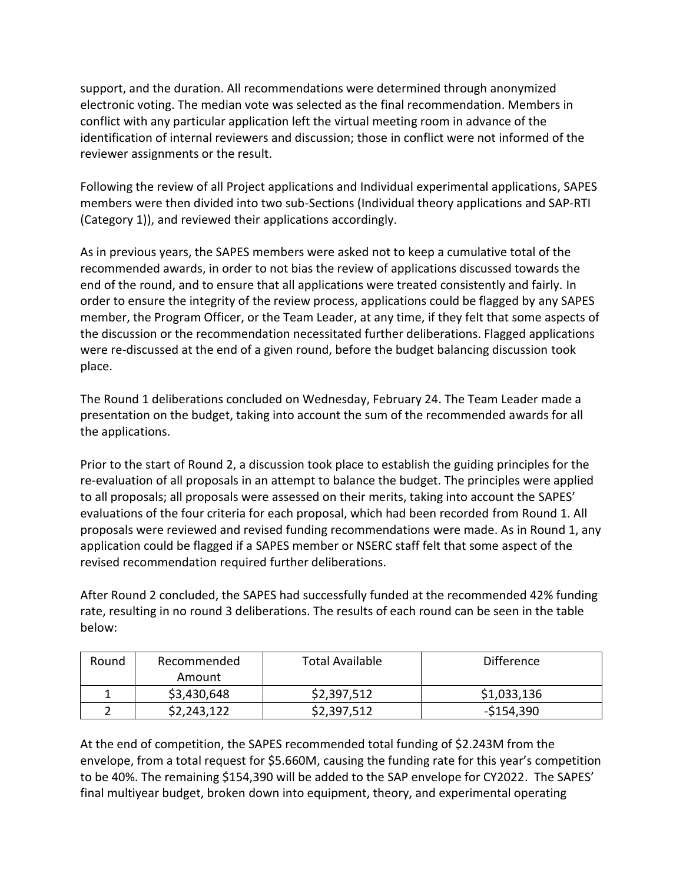support, and the duration. All recommendations were determined through anonymized electronic voting. The median vote was selected as the final recommendation. Members in conflict with any particular application left the virtual meeting room in advance of the identification of internal reviewers and discussion; those in conflict were not informed of the reviewer assignments or the result.

Following the review of all Project applications and Individual experimental applications, SAPES members were then divided into two sub-Sections (Individual theory applications and SAP-RTI (Category 1)), and reviewed their applications accordingly.

As in previous years, the SAPES members were asked not to keep a cumulative total of the recommended awards, in order to not bias the review of applications discussed towards the end of the round, and to ensure that all applications were treated consistently and fairly. In order to ensure the integrity of the review process, applications could be flagged by any SAPES member, the Program Officer, or the Team Leader, at any time, if they felt that some aspects of the discussion or the recommendation necessitated further deliberations. Flagged applications were re-discussed at the end of a given round, before the budget balancing discussion took place.

The Round 1 deliberations concluded on Wednesday, February 24. The Team Leader made a presentation on the budget, taking into account the sum of the recommended awards for all the applications.

Prior to the start of Round 2, a discussion took place to establish the guiding principles for the re-evaluation of all proposals in an attempt to balance the budget. The principles were applied to all proposals; all proposals were assessed on their merits, taking into account the SAPES' evaluations of the four criteria for each proposal, which had been recorded from Round 1. All proposals were reviewed and revised funding recommendations were made. As in Round 1, any application could be flagged if a SAPES member or NSERC staff felt that some aspect of the revised recommendation required further deliberations.

After Round 2 concluded, the SAPES had successfully funded at the recommended 42% funding rate, resulting in no round 3 deliberations. The results of each round can be seen in the table below:

| Round | Recommended | <b>Total Available</b> | <b>Difference</b> |
|-------|-------------|------------------------|-------------------|
|       | Amount      |                        |                   |
|       | \$3,430,648 | \$2,397,512            | \$1,033,136       |
|       | \$2,243,122 | \$2,397,512            | $-5154,390$       |

At the end of competition, the SAPES recommended total funding of \$2.243M from the envelope, from a total request for \$5.660M, causing the funding rate for this year's competition to be 40%. The remaining \$154,390 will be added to the SAP envelope for CY2022. The SAPES' final multiyear budget, broken down into equipment, theory, and experimental operating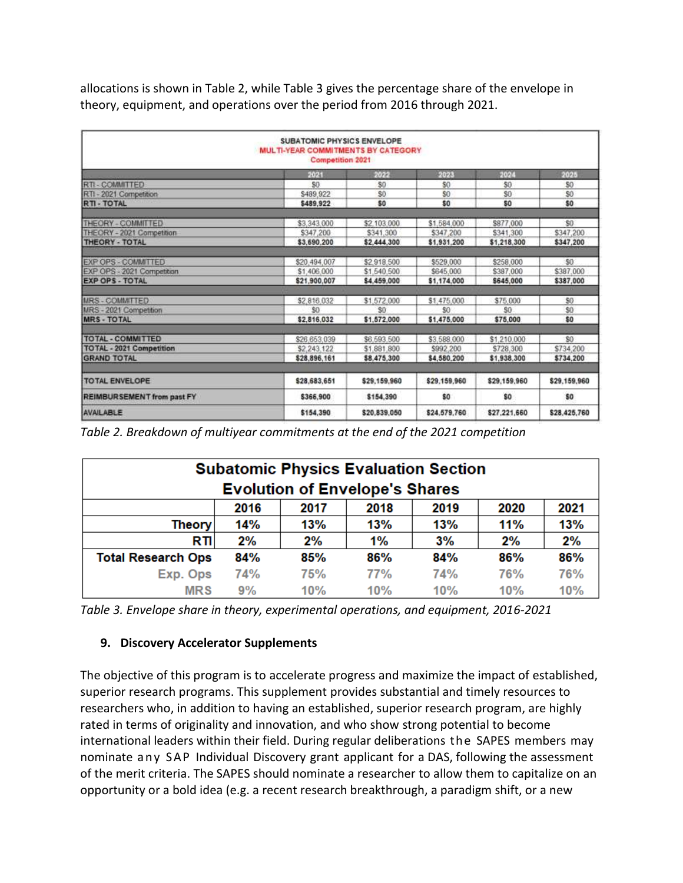allocations is shown in Table 2, while Table 3 gives the percentage share of the envelope in theory, equipment, and operations over the period from 2016 through 2021.

|                                 | SUBATOMIC PHYSICS ENVELOPE<br><b>MULTI-YEAR COMMITMENTS BY CATEGORY</b><br><b>Competition 2021</b> |              |              |              |              |
|---------------------------------|----------------------------------------------------------------------------------------------------|--------------|--------------|--------------|--------------|
|                                 | 2021                                                                                               | 2022         | 2023         | 2024         | 2025         |
| RTI - COMMITTED                 | \$0                                                                                                | \$0          | \$0          | \$0          | \$0          |
| - 2021 Competition<br>RTI.      | \$489 922                                                                                          | \$0          | \$0          | \$0          | \$0          |
| <b>RTI-TOTAL</b>                | \$489,922                                                                                          | \$0          | \$0          | \$0          | \$0          |
| THEORY - COMMITTED              | \$3,343,000                                                                                        | \$2,103,000  | \$1,584.000  | \$877,000    | \$0          |
| THEORY - 2021 Competition       | \$347,200                                                                                          | \$341,300    | \$347,200    | \$341.300    | \$347,200    |
| THEORY - TOTAL                  | \$3,690,200                                                                                        | \$2,444.300  | \$1,931,200  | \$1,218,300  | \$347,200    |
|                                 |                                                                                                    |              |              |              |              |
| EXP OPS - COMMITTED             | \$20.494.007                                                                                       | \$2,918,500  | \$529,000    | \$258,000    | 50           |
| EXP OPS - 2021 Competition      | \$1,406,000                                                                                        | \$1,540,500  | \$645,000    | \$387.000    | \$387,000    |
| <b>EXP OPS - TOTAL</b>          | \$21,900,007                                                                                       | \$4,459,000  | \$1,174,000  | \$645,000    | \$387,000    |
| <b>MRS-COMMITTED</b>            | \$2,816,032                                                                                        | \$1,572,000  | \$1,475,000  | \$75,000     | \$0          |
| MRS - 2021 Competition          | \$0                                                                                                | \$0          | \$0          | \$0          | \$0          |
| <b>MRS-TOTAL</b>                | \$2,816.032                                                                                        | \$1,572,000  | \$1,475,000  | \$75,000     | \$0          |
| <b>TOTAL - COMMITTED</b>        | \$26.653.039                                                                                       | \$6,593,500  | \$3,588,000  | \$1,210,000  | \$0          |
| <b>TOTAL - 2021 Competition</b> | \$2,243.122                                                                                        | \$1,881,800  | \$992,200    | \$728,300    | \$734 200    |
| <b>GRAND TOTAL</b>              | \$28,896,161                                                                                       | \$8,475,300  | \$4,580,200  | \$1,938,300  | \$734,200    |
| <b>TOTAL ENVELOPE</b>           | \$28,683,651                                                                                       | \$29,159,960 | \$29,159,960 | \$29.159.960 | \$29,159,960 |
|                                 |                                                                                                    |              |              |              |              |
| REIMBURSEMENT from past FY      | \$366,900                                                                                          | \$154,390    | \$0          | \$0          | \$0          |
| AVAILABLE                       | \$154,390                                                                                          | \$20.839.050 | \$24.579.760 | \$27.221.660 | \$28,425,760 |

*Table 2. Breakdown of multiyear commitments at the end of the 2021 competition*

| <b>Subatomic Physics Evaluation Section</b> |                                              |     |     |     |     |     |  |
|---------------------------------------------|----------------------------------------------|-----|-----|-----|-----|-----|--|
| <b>Evolution of Envelope's Shares</b>       |                                              |     |     |     |     |     |  |
|                                             | 2021<br>2020<br>2016<br>2018<br>2019<br>2017 |     |     |     |     |     |  |
| <b>Theory</b>                               | 14%                                          | 13% | 13% | 13% | 11% | 13% |  |
| <b>RTI</b>                                  | 2%                                           | 2%  | 1%  | 3%  | 2%  | 2%  |  |
| <b>Total Research Ops</b>                   | 84%                                          | 85% | 86% | 84% | 86% | 86% |  |
| Exp. Ops                                    | 74%                                          | 75% | 77% | 74% | 76% | 76% |  |
| <b>MRS</b>                                  | 9%                                           | 10% | 10% | 10% | 10% | 10% |  |

*Table 3. Envelope share in theory, experimental operations, and equipment, 2016-2021*

#### **9. Discovery Accelerator Supplements**

The objective of this program is to accelerate progress and maximize the impact of established, superior research programs. This supplement provides substantial and timely resources to researchers who, in addition to having an established, superior research program, are highly rated in terms of originality and innovation, and who show strong potential to become international leaders within their field. During regular deliberations the SAPES members may nominate any SAP Individual Discovery grant applicant for a DAS, following the assessment of the merit criteria. The SAPES should nominate a researcher to allow them to capitalize on an opportunity or a bold idea (e.g. a recent research breakthrough, a paradigm shift, or a new